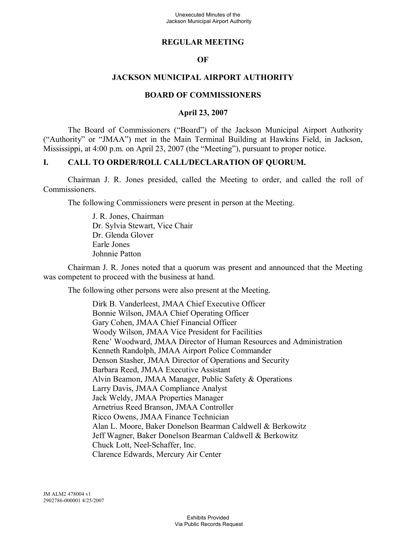## **REGULAR MEETING**

## **OF**

## **JACKSON MUNICIPAL AIRPORT AUTHORITY**

### **BOARD OF COMMISSIONERS**

## **April 23, 2007**

The Board of Commissioners ("Board") of the Jackson Municipal Airport Authority ("Authority" or "JMAA") met in the Main Terminal Building at Hawkins Field, in Jackson, Mississippi, at 4:00 p.m. on April 23, 2007 (the "Meeting"), pursuant to proper notice.

## **I. CALL TO ORDER/ROLL CALL/DECLARATION OF QUORUM.**

Chairman J. R. Jones presided, called the Meeting to order, and called the roll of Commissioners.

The following Commissioners were present in person at the Meeting.

J. R. Jones, Chairman Dr. Sylvia Stewart, Vice Chair Dr. Glenda Glover Earle Jones Johnnie Patton

Chairman J. R. Jones noted that a quorum was present and announced that the Meeting was competent to proceed with the business at hand.

The following other persons were also present at the Meeting.

Dirk B. Vanderleest, JMAA Chief Executive Officer Bonnie Wilson, JMAA Chief Operating Officer Gary Cohen, JMAA Chief Financial Officer Woody Wilson, JMAA Vice President for Facilities Rene' Woodward, JMAA Director of Human Resources and Administration Kenneth Randolph, JMAA Airport Police Commander Denson Stasher, JMAA Director of Operations and Security Barbara Reed, JMAA Executive Assistant Alvin Beamon, JMAA Manager, Public Safety & Operations Larry Davis, JMAA Compliance Analyst Jack Weldy, JMAA Properties Manager Arnetrius Reed Branson, JMAA Controller Ricco Owens, JMAA Finance Technician Alan L. Moore, Baker Donelson Bearman Caldwell & Berkowitz Jeff Wagner, Baker Donelson Bearman Caldwell & Berkowitz Chuck Lott, Neel-Schaffer, Inc. Clarence Edwards, Mercury Air Center

JM ALM2 478004 v1 2902786-000001 4/25/2007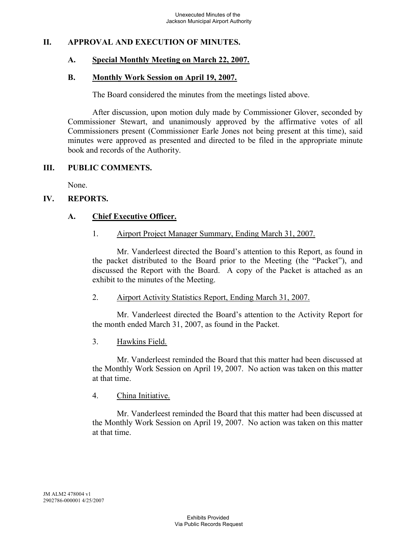## **II. APPROVAL AND EXECUTION OF MINUTES.**

## **A. Special Monthly Meeting on March 22, 2007.**

#### **B. Monthly Work Session on April 19, 2007.**

The Board considered the minutes from the meetings listed above.

After discussion, upon motion duly made by Commissioner Glover, seconded by Commissioner Stewart, and unanimously approved by the affirmative votes of all Commissioners present (Commissioner Earle Jones not being present at this time), said minutes were approved as presented and directed to be filed in the appropriate minute book and records of the Authority.

### **III. PUBLIC COMMENTS.**

None.

### **IV. REPORTS.**

## **A. Chief Executive Officer.**

### 1. Airport Project Manager Summary, Ending March 31, 2007.

Mr. Vanderleest directed the Board's attention to this Report, as found in the packet distributed to the Board prior to the Meeting (the "Packet"), and discussed the Report with the Board. A copy of the Packet is attached as an exhibit to the minutes of the Meeting.

### 2. Airport Activity Statistics Report, Ending March 31, 2007.

Mr. Vanderleest directed the Board's attention to the Activity Report for the month ended March 31, 2007, as found in the Packet.

### 3. Hawkins Field.

Mr. Vanderleest reminded the Board that this matter had been discussed at the Monthly Work Session on April 19, 2007. No action was taken on this matter at that time.

### 4. China Initiative.

Mr. Vanderleest reminded the Board that this matter had been discussed at the Monthly Work Session on April 19, 2007. No action was taken on this matter at that time.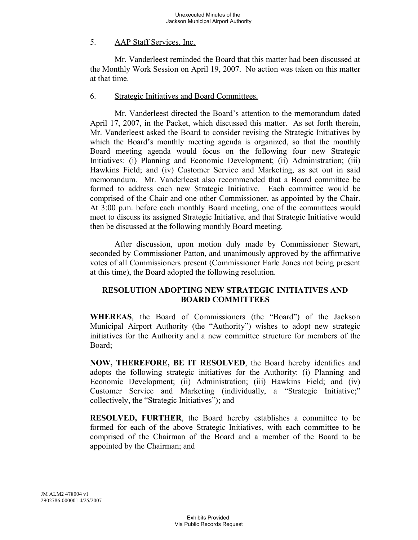## 5. AAP Staff Services, Inc.

Mr. Vanderleest reminded the Board that this matter had been discussed at the Monthly Work Session on April 19, 2007. No action was taken on this matter at that time.

### 6. Strategic Initiatives and Board Committees.

Mr. Vanderleest directed the Board's attention to the memorandum dated April 17, 2007, in the Packet, which discussed this matter. As set forth therein, Mr. Vanderleest asked the Board to consider revising the Strategic Initiatives by which the Board's monthly meeting agenda is organized, so that the monthly Board meeting agenda would focus on the following four new Strategic Initiatives: (i) Planning and Economic Development; (ii) Administration; (iii) Hawkins Field; and (iv) Customer Service and Marketing, as set out in said memorandum. Mr. Vanderleest also recommended that a Board committee be formed to address each new Strategic Initiative. Each committee would be comprised of the Chair and one other Commissioner, as appointed by the Chair. At 3:00 p.m. before each monthly Board meeting, one of the committees would meet to discuss its assigned Strategic Initiative, and that Strategic Initiative would then be discussed at the following monthly Board meeting.

After discussion, upon motion duly made by Commissioner Stewart, seconded by Commissioner Patton, and unanimously approved by the affirmative votes of all Commissioners present (Commissioner Earle Jones not being present at this time), the Board adopted the following resolution.

## **RESOLUTION ADOPTING NEW STRATEGIC INITIATIVES AND BOARD COMMITTEES**

**WHEREAS**, the Board of Commissioners (the "Board") of the Jackson Municipal Airport Authority (the "Authority") wishes to adopt new strategic initiatives for the Authority and a new committee structure for members of the Board;

**NOW, THEREFORE, BE IT RESOLVED**, the Board hereby identifies and adopts the following strategic initiatives for the Authority: (i) Planning and Economic Development; (ii) Administration; (iii) Hawkins Field; and (iv) Customer Service and Marketing (individually, a "Strategic Initiative;" collectively, the "Strategic Initiatives"); and

**RESOLVED, FURTHER**, the Board hereby establishes a committee to be formed for each of the above Strategic Initiatives, with each committee to be comprised of the Chairman of the Board and a member of the Board to be appointed by the Chairman; and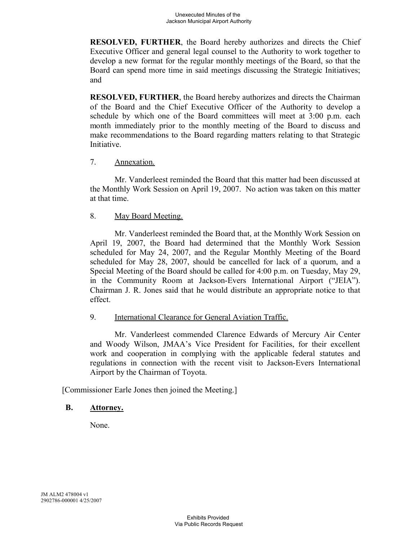**RESOLVED, FURTHER**, the Board hereby authorizes and directs the Chief Executive Officer and general legal counsel to the Authority to work together to develop a new format for the regular monthly meetings of the Board, so that the Board can spend more time in said meetings discussing the Strategic Initiatives; and

**RESOLVED, FURTHER**, the Board hereby authorizes and directs the Chairman of the Board and the Chief Executive Officer of the Authority to develop a schedule by which one of the Board committees will meet at 3:00 p.m. each month immediately prior to the monthly meeting of the Board to discuss and make recommendations to the Board regarding matters relating to that Strategic Initiative.

# 7. Annexation.

Mr. Vanderleest reminded the Board that this matter had been discussed at the Monthly Work Session on April 19, 2007. No action was taken on this matter at that time.

### 8. May Board Meeting.

Mr. Vanderleest reminded the Board that, at the Monthly Work Session on April 19, 2007, the Board had determined that the Monthly Work Session scheduled for May 24, 2007, and the Regular Monthly Meeting of the Board scheduled for May 28, 2007, should be cancelled for lack of a quorum, and a Special Meeting of the Board should be called for 4:00 p.m. on Tuesday, May 29, in the Community Room at Jackson-Evers International Airport ("JEIA"). Chairman J. R. Jones said that he would distribute an appropriate notice to that effect.

## 9. International Clearance for General Aviation Traffic.

Mr. Vanderleest commended Clarence Edwards of Mercury Air Center and Woody Wilson, JMAA's Vice President for Facilities, for their excellent work and cooperation in complying with the applicable federal statutes and regulations in connection with the recent visit to Jackson-Evers International Airport by the Chairman of Toyota.

[Commissioner Earle Jones then joined the Meeting.]

### **B. Attorney.**

None.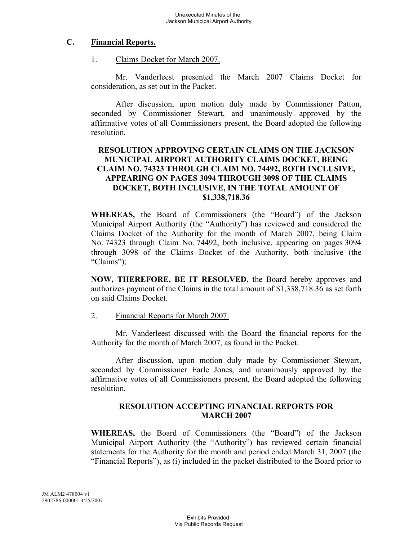## **C. Financial Reports.**

1. Claims Docket for March 2007.

Mr. Vanderleest presented the March 2007 Claims Docket for consideration, as set out in the Packet.

After discussion, upon motion duly made by Commissioner Patton, seconded by Commissioner Stewart, and unanimously approved by the affirmative votes of all Commissioners present, the Board adopted the following resolution.

## **RESOLUTION APPROVING CERTAIN CLAIMS ON THE JACKSON MUNICIPAL AIRPORT AUTHORITY CLAIMS DOCKET, BEING CLAIM NO. 74323 THROUGH CLAIM NO. 74492, BOTH INCLUSIVE, APPEARING ON PAGES 3094 THROUGH 3098 OF THE CLAIMS DOCKET, BOTH INCLUSIVE, IN THE TOTAL AMOUNT OF \$1,338,718.36**

**WHEREAS,** the Board of Commissioners (the "Board") of the Jackson Municipal Airport Authority (the "Authority") has reviewed and considered the Claims Docket of the Authority for the month of March 2007, being Claim No. 74323 through Claim No. 74492, both inclusive, appearing on pages 3094 through 3098 of the Claims Docket of the Authority, both inclusive (the "Claims");

**NOW, THEREFORE, BE IT RESOLVED,** the Board hereby approves and authorizes payment of the Claims in the total amount of \$1,338,718.36 as set forth on said Claims Docket.

### 2. Financial Reports for March 2007.

Mr. Vanderleest discussed with the Board the financial reports for the Authority for the month of March 2007, as found in the Packet.

After discussion, upon motion duly made by Commissioner Stewart, seconded by Commissioner Earle Jones, and unanimously approved by the affirmative votes of all Commissioners present, the Board adopted the following resolution.

## **RESOLUTION ACCEPTING FINANCIAL REPORTS FOR MARCH 2007**

**WHEREAS,** the Board of Commissioners (the "Board") of the Jackson Municipal Airport Authority (the "Authority") has reviewed certain financial statements for the Authority for the month and period ended March 31, 2007 (the "Financial Reports"), as (i) included in the packet distributed to the Board prior to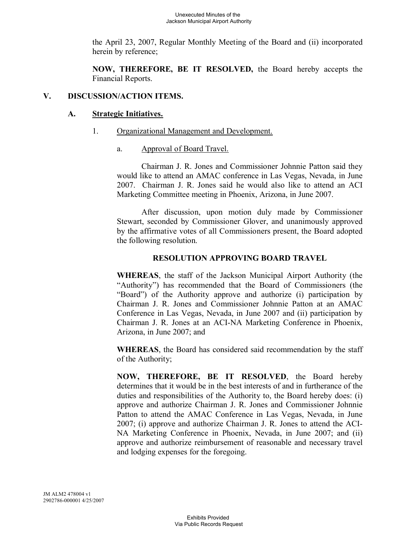the April 23, 2007, Regular Monthly Meeting of the Board and (ii) incorporated herein by reference;

**NOW, THEREFORE, BE IT RESOLVED,** the Board hereby accepts the Financial Reports.

## **V. DISCUSSION/ACTION ITEMS.**

## **A. Strategic Initiatives.**

- 1. Organizational Management and Development.
	- a. Approval of Board Travel.

Chairman J. R. Jones and Commissioner Johnnie Patton said they would like to attend an AMAC conference in Las Vegas, Nevada, in June 2007. Chairman J. R. Jones said he would also like to attend an ACI Marketing Committee meeting in Phoenix, Arizona, in June 2007.

After discussion, upon motion duly made by Commissioner Stewart, seconded by Commissioner Glover, and unanimously approved by the affirmative votes of all Commissioners present, the Board adopted the following resolution.

## **RESOLUTION APPROVING BOARD TRAVEL**

**WHEREAS**, the staff of the Jackson Municipal Airport Authority (the "Authority") has recommended that the Board of Commissioners (the "Board") of the Authority approve and authorize (i) participation by Chairman J. R. Jones and Commissioner Johnnie Patton at an AMAC Conference in Las Vegas, Nevada, in June 2007 and (ii) participation by Chairman J. R. Jones at an ACI-NA Marketing Conference in Phoenix, Arizona, in June 2007; and

**WHEREAS**, the Board has considered said recommendation by the staff of the Authority;

**NOW, THEREFORE, BE IT RESOLVED**, the Board hereby determines that it would be in the best interests of and in furtherance of the duties and responsibilities of the Authority to, the Board hereby does: (i) approve and authorize Chairman J. R. Jones and Commissioner Johnnie Patton to attend the AMAC Conference in Las Vegas, Nevada, in June 2007; (i) approve and authorize Chairman J. R. Jones to attend the ACI-NA Marketing Conference in Phoenix, Nevada, in June 2007; and (ii) approve and authorize reimbursement of reasonable and necessary travel and lodging expenses for the foregoing.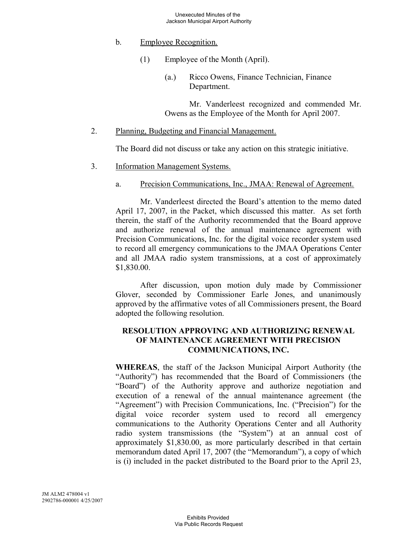- b. Employee Recognition.
	- (1) Employee of the Month (April).
		- (a.) Ricco Owens, Finance Technician, Finance Department.

Mr. Vanderleest recognized and commended Mr. Owens as the Employee of the Month for April 2007.

2. Planning, Budgeting and Financial Management.

The Board did not discuss or take any action on this strategic initiative.

- 3. Information Management Systems.
	- a. Precision Communications, Inc., JMAA: Renewal of Agreement.

Mr. Vanderleest directed the Board's attention to the memo dated April 17, 2007, in the Packet, which discussed this matter. As set forth therein, the staff of the Authority recommended that the Board approve and authorize renewal of the annual maintenance agreement with Precision Communications, Inc. for the digital voice recorder system used to record all emergency communications to the JMAA Operations Center and all JMAA radio system transmissions, at a cost of approximately \$1,830.00.

After discussion, upon motion duly made by Commissioner Glover, seconded by Commissioner Earle Jones, and unanimously approved by the affirmative votes of all Commissioners present, the Board adopted the following resolution.

## **RESOLUTION APPROVING AND AUTHORIZING RENEWAL OF MAINTENANCE AGREEMENT WITH PRECISION COMMUNICATIONS, INC.**

**WHEREAS**, the staff of the Jackson Municipal Airport Authority (the "Authority") has recommended that the Board of Commissioners (the "Board") of the Authority approve and authorize negotiation and execution of a renewal of the annual maintenance agreement (the "Agreement") with Precision Communications, Inc. ("Precision") for the digital voice recorder system used to record all emergency communications to the Authority Operations Center and all Authority radio system transmissions (the "System") at an annual cost of approximately \$1,830.00, as more particularly described in that certain memorandum dated April 17, 2007 (the "Memorandum"), a copy of which is (i) included in the packet distributed to the Board prior to the April 23,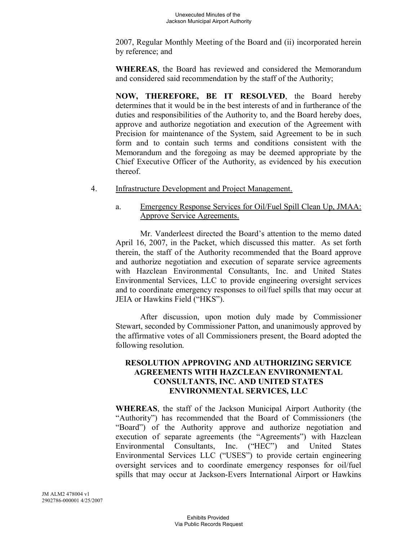2007, Regular Monthly Meeting of the Board and (ii) incorporated herein by reference; and

**WHEREAS**, the Board has reviewed and considered the Memorandum and considered said recommendation by the staff of the Authority;

**NOW, THEREFORE, BE IT RESOLVED**, the Board hereby determines that it would be in the best interests of and in furtherance of the duties and responsibilities of the Authority to, and the Board hereby does, approve and authorize negotiation and execution of the Agreement with Precision for maintenance of the System, said Agreement to be in such form and to contain such terms and conditions consistent with the Memorandum and the foregoing as may be deemed appropriate by the Chief Executive Officer of the Authority, as evidenced by his execution thereof.

- 4. Infrastructure Development and Project Management.
	- a. Emergency Response Services for Oil/Fuel Spill Clean Up, JMAA: Approve Service Agreements.

Mr. Vanderleest directed the Board's attention to the memo dated April 16, 2007, in the Packet, which discussed this matter. As set forth therein, the staff of the Authority recommended that the Board approve and authorize negotiation and execution of separate service agreements with Hazclean Environmental Consultants, Inc. and United States Environmental Services, LLC to provide engineering oversight services and to coordinate emergency responses to oil/fuel spills that may occur at JEIA or Hawkins Field ("HKS").

After discussion, upon motion duly made by Commissioner Stewart, seconded by Commissioner Patton, and unanimously approved by the affirmative votes of all Commissioners present, the Board adopted the following resolution.

## **RESOLUTION APPROVING AND AUTHORIZING SERVICE AGREEMENTS WITH HAZCLEAN ENVIRONMENTAL CONSULTANTS, INC. AND UNITED STATES ENVIRONMENTAL SERVICES, LLC**

**WHEREAS**, the staff of the Jackson Municipal Airport Authority (the "Authority") has recommended that the Board of Commissioners (the "Board") of the Authority approve and authorize negotiation and execution of separate agreements (the "Agreements") with Hazclean Environmental Consultants, Inc. ("HEC") and United States Environmental Services LLC ("USES") to provide certain engineering oversight services and to coordinate emergency responses for oil/fuel spills that may occur at Jackson-Evers International Airport or Hawkins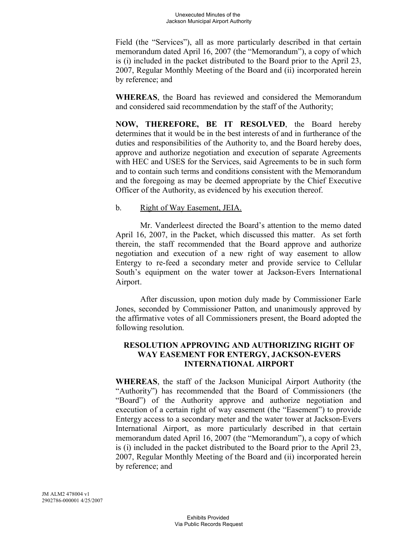Field (the "Services"), all as more particularly described in that certain memorandum dated April 16, 2007 (the "Memorandum"), a copy of which is (i) included in the packet distributed to the Board prior to the April 23, 2007, Regular Monthly Meeting of the Board and (ii) incorporated herein by reference; and

**WHEREAS**, the Board has reviewed and considered the Memorandum and considered said recommendation by the staff of the Authority;

**NOW, THEREFORE, BE IT RESOLVED**, the Board hereby determines that it would be in the best interests of and in furtherance of the duties and responsibilities of the Authority to, and the Board hereby does, approve and authorize negotiation and execution of separate Agreements with HEC and USES for the Services, said Agreements to be in such form and to contain such terms and conditions consistent with the Memorandum and the foregoing as may be deemed appropriate by the Chief Executive Officer of the Authority, as evidenced by his execution thereof.

## b. Right of Way Easement, JEIA.

Mr. Vanderleest directed the Board's attention to the memo dated April 16, 2007, in the Packet, which discussed this matter. As set forth therein, the staff recommended that the Board approve and authorize negotiation and execution of a new right of way easement to allow Entergy to re-feed a secondary meter and provide service to Cellular South's equipment on the water tower at Jackson-Evers International Airport.

After discussion, upon motion duly made by Commissioner Earle Jones, seconded by Commissioner Patton, and unanimously approved by the affirmative votes of all Commissioners present, the Board adopted the following resolution.

## **RESOLUTION APPROVING AND AUTHORIZING RIGHT OF WAY EASEMENT FOR ENTERGY, JACKSON-EVERS INTERNATIONAL AIRPORT**

**WHEREAS**, the staff of the Jackson Municipal Airport Authority (the "Authority") has recommended that the Board of Commissioners (the "Board") of the Authority approve and authorize negotiation and execution of a certain right of way easement (the "Easement") to provide Entergy access to a secondary meter and the water tower at Jackson-Evers International Airport, as more particularly described in that certain memorandum dated April 16, 2007 (the "Memorandum"), a copy of which is (i) included in the packet distributed to the Board prior to the April 23, 2007, Regular Monthly Meeting of the Board and (ii) incorporated herein by reference; and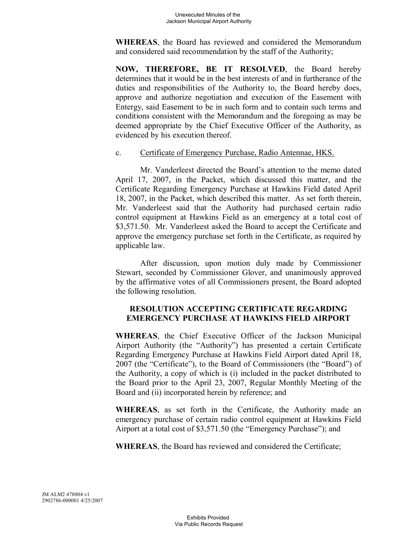**WHEREAS**, the Board has reviewed and considered the Memorandum and considered said recommendation by the staff of the Authority;

**NOW, THEREFORE, BE IT RESOLVED**, the Board hereby determines that it would be in the best interests of and in furtherance of the duties and responsibilities of the Authority to, the Board hereby does, approve and authorize negotiation and execution of the Easement with Entergy, said Easement to be in such form and to contain such terms and conditions consistent with the Memorandum and the foregoing as may be deemed appropriate by the Chief Executive Officer of the Authority, as evidenced by his execution thereof.

### c. Certificate of Emergency Purchase, Radio Antennae, HKS.

Mr. Vanderleest directed the Board's attention to the memo dated April 17, 2007, in the Packet, which discussed this matter, and the Certificate Regarding Emergency Purchase at Hawkins Field dated April 18, 2007, in the Packet, which described this matter. As set forth therein, Mr. Vanderleest said that the Authority had purchased certain radio control equipment at Hawkins Field as an emergency at a total cost of \$3,571.50. Mr. Vanderleest asked the Board to accept the Certificate and approve the emergency purchase set forth in the Certificate, as required by applicable law.

After discussion, upon motion duly made by Commissioner Stewart, seconded by Commissioner Glover, and unanimously approved by the affirmative votes of all Commissioners present, the Board adopted the following resolution.

## **RESOLUTION ACCEPTING CERTIFICATE REGARDING EMERGENCY PURCHASE AT HAWKINS FIELD AIRPORT**

**WHEREAS**, the Chief Executive Officer of the Jackson Municipal Airport Authority (the "Authority") has presented a certain Certificate Regarding Emergency Purchase at Hawkins Field Airport dated April 18, 2007 (the "Certificate"), to the Board of Commissioners (the "Board") of the Authority, a copy of which is (i) included in the packet distributed to the Board prior to the April 23, 2007, Regular Monthly Meeting of the Board and (ii) incorporated herein by reference; and

**WHEREAS**, as set forth in the Certificate, the Authority made an emergency purchase of certain radio control equipment at Hawkins Field Airport at a total cost of \$3,571.50 (the "Emergency Purchase"); and

**WHEREAS**, the Board has reviewed and considered the Certificate;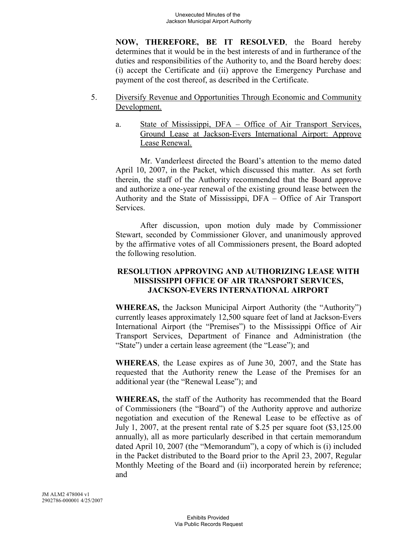**NOW, THEREFORE, BE IT RESOLVED**, the Board hereby determines that it would be in the best interests of and in furtherance of the duties and responsibilities of the Authority to, and the Board hereby does: (i) accept the Certificate and (ii) approve the Emergency Purchase and payment of the cost thereof, as described in the Certificate.

- 5. Diversify Revenue and Opportunities Through Economic and Community Development.
	- a. State of Mississippi, DFA Office of Air Transport Services, Ground Lease at Jackson-Evers International Airport: Approve Lease Renewal.

Mr. Vanderleest directed the Board's attention to the memo dated April 10, 2007, in the Packet, which discussed this matter. As set forth therein, the staff of the Authority recommended that the Board approve and authorize a one-year renewal of the existing ground lease between the Authority and the State of Mississippi, DFA – Office of Air Transport Services.

After discussion, upon motion duly made by Commissioner Stewart, seconded by Commissioner Glover, and unanimously approved by the affirmative votes of all Commissioners present, the Board adopted the following resolution.

## **RESOLUTION APPROVING AND AUTHORIZING LEASE WITH MISSISSIPPI OFFICE OF AIR TRANSPORT SERVICES, JACKSON-EVERS INTERNATIONAL AIRPORT**

**WHEREAS,** the Jackson Municipal Airport Authority (the "Authority") currently leases approximately 12,500 square feet of land at Jackson-Evers International Airport (the "Premises") to the Mississippi Office of Air Transport Services, Department of Finance and Administration (the "State") under a certain lease agreement (the "Lease"); and

**WHEREAS**, the Lease expires as of June 30, 2007, and the State has requested that the Authority renew the Lease of the Premises for an additional year (the "Renewal Lease"); and

**WHEREAS,** the staff of the Authority has recommended that the Board of Commissioners (the "Board") of the Authority approve and authorize negotiation and execution of the Renewal Lease to be effective as of July 1, 2007, at the present rental rate of \$.25 per square foot (\$3,125.00 annually), all as more particularly described in that certain memorandum dated April 10, 2007 (the "Memorandum"), a copy of which is (i) included in the Packet distributed to the Board prior to the April 23, 2007, Regular Monthly Meeting of the Board and (ii) incorporated herein by reference; and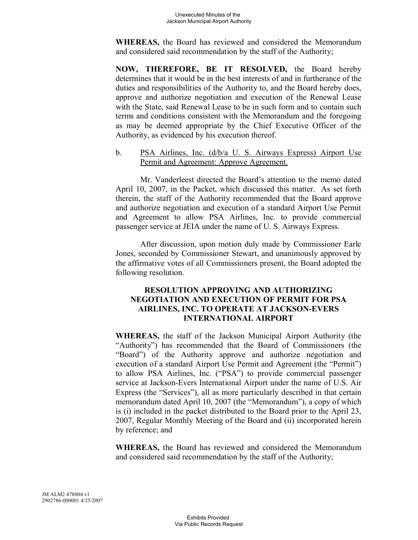**WHEREAS,** the Board has reviewed and considered the Memorandum and considered said recommendation by the staff of the Authority;

**NOW, THEREFORE, BE IT RESOLVED,** the Board hereby determines that it would be in the best interests of and in furtherance of the duties and responsibilities of the Authority to, and the Board hereby does, approve and authorize negotiation and execution of the Renewal Lease with the State, said Renewal Lease to be in such form and to contain such terms and conditions consistent with the Memorandum and the foregoing as may be deemed appropriate by the Chief Executive Officer of the Authority, as evidenced by his execution thereof.

## b. PSA Airlines, Inc. (d/b/a U. S. Airways Express) Airport Use Permit and Agreement: Approve Agreement.

Mr. Vanderleest directed the Board's attention to the memo dated April 10, 2007, in the Packet, which discussed this matter. As set forth therein, the staff of the Authority recommended that the Board approve and authorize negotiation and execution of a standard Airport Use Permit and Agreement to allow PSA Airlines, Inc. to provide commercial passenger service at JEIA under the name of U. S. Airways Express.

After discussion, upon motion duly made by Commissioner Earle Jones, seconded by Commissioner Stewart, and unanimously approved by the affirmative votes of all Commissioners present, the Board adopted the following resolution.

## **RESOLUTION APPROVING AND AUTHORIZING NEGOTIATION AND EXECUTION OF PERMIT FOR PSA AIRLINES, INC. TO OPERATE AT JACKSON-EVERS INTERNATIONAL AIRPORT**

**WHEREAS,** the staff of the Jackson Municipal Airport Authority (the "Authority") has recommended that the Board of Commissioners (the "Board") of the Authority approve and authorize negotiation and execution of a standard Airport Use Permit and Agreement (the "Permit") to allow PSA Airlines, Inc. ("PSA") to provide commercial passenger service at Jackson-Evers International Airport under the name of U.S. Air Express (the "Services"), all as more particularly described in that certain memorandum dated April 10, 2007 (the "Memorandum"), a copy of which is (i) included in the packet distributed to the Board prior to the April 23, 2007, Regular Monthly Meeting of the Board and (ii) incorporated herein by reference; and

**WHEREAS,** the Board has reviewed and considered the Memorandum and considered said recommendation by the staff of the Authority;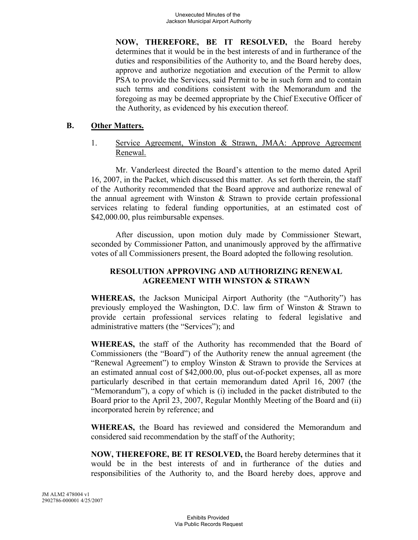**NOW, THEREFORE, BE IT RESOLVED,** the Board hereby determines that it would be in the best interests of and in furtherance of the duties and responsibilities of the Authority to, and the Board hereby does, approve and authorize negotiation and execution of the Permit to allow PSA to provide the Services, said Permit to be in such form and to contain such terms and conditions consistent with the Memorandum and the foregoing as may be deemed appropriate by the Chief Executive Officer of the Authority, as evidenced by his execution thereof.

## **B. Other Matters.**

1. Service Agreement, Winston & Strawn, JMAA: Approve Agreement Renewal.

Mr. Vanderleest directed the Board's attention to the memo dated April 16, 2007, in the Packet, which discussed this matter. As set forth therein, the staff of the Authority recommended that the Board approve and authorize renewal of the annual agreement with Winston & Strawn to provide certain professional services relating to federal funding opportunities, at an estimated cost of \$42,000.00, plus reimbursable expenses.

After discussion, upon motion duly made by Commissioner Stewart, seconded by Commissioner Patton, and unanimously approved by the affirmative votes of all Commissioners present, the Board adopted the following resolution.

## **RESOLUTION APPROVING AND AUTHORIZING RENEWAL AGREEMENT WITH WINSTON & STRAWN**

**WHEREAS,** the Jackson Municipal Airport Authority (the "Authority") has previously employed the Washington, D.C. law firm of Winston & Strawn to provide certain professional services relating to federal legislative and administrative matters (the "Services"); and

**WHEREAS,** the staff of the Authority has recommended that the Board of Commissioners (the "Board") of the Authority renew the annual agreement (the "Renewal Agreement") to employ Winston & Strawn to provide the Services at an estimated annual cost of \$42,000.00, plus out-of-pocket expenses, all as more particularly described in that certain memorandum dated April 16, 2007 (the "Memorandum"), a copy of which is (i) included in the packet distributed to the Board prior to the April 23, 2007, Regular Monthly Meeting of the Board and (ii) incorporated herein by reference; and

**WHEREAS,** the Board has reviewed and considered the Memorandum and considered said recommendation by the staff of the Authority;

**NOW, THEREFORE, BE IT RESOLVED,** the Board hereby determines that it would be in the best interests of and in furtherance of the duties and responsibilities of the Authority to, and the Board hereby does, approve and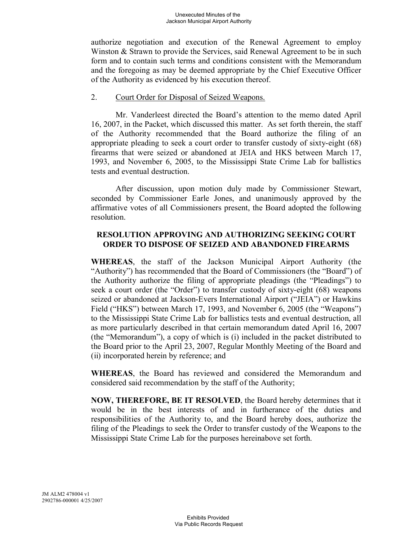authorize negotiation and execution of the Renewal Agreement to employ Winston & Strawn to provide the Services, said Renewal Agreement to be in such form and to contain such terms and conditions consistent with the Memorandum and the foregoing as may be deemed appropriate by the Chief Executive Officer of the Authority as evidenced by his execution thereof.

### 2. Court Order for Disposal of Seized Weapons.

Mr. Vanderleest directed the Board's attention to the memo dated April 16, 2007, in the Packet, which discussed this matter. As set forth therein, the staff of the Authority recommended that the Board authorize the filing of an appropriate pleading to seek a court order to transfer custody of sixty-eight (68) firearms that were seized or abandoned at JEIA and HKS between March 17, 1993, and November 6, 2005, to the Mississippi State Crime Lab for ballistics tests and eventual destruction.

After discussion, upon motion duly made by Commissioner Stewart, seconded by Commissioner Earle Jones, and unanimously approved by the affirmative votes of all Commissioners present, the Board adopted the following resolution.

## **RESOLUTION APPROVING AND AUTHORIZING SEEKING COURT ORDER TO DISPOSE OF SEIZED AND ABANDONED FIREARMS**

**WHEREAS**, the staff of the Jackson Municipal Airport Authority (the "Authority") has recommended that the Board of Commissioners (the "Board") of the Authority authorize the filing of appropriate pleadings (the "Pleadings") to seek a court order (the "Order") to transfer custody of sixty-eight (68) weapons seized or abandoned at Jackson-Evers International Airport ("JEIA") or Hawkins Field ("HKS") between March 17, 1993, and November 6, 2005 (the "Weapons") to the Mississippi State Crime Lab for ballistics tests and eventual destruction, all as more particularly described in that certain memorandum dated April 16, 2007 (the "Memorandum"), a copy of which is (i) included in the packet distributed to the Board prior to the April 23, 2007, Regular Monthly Meeting of the Board and (ii) incorporated herein by reference; and

**WHEREAS**, the Board has reviewed and considered the Memorandum and considered said recommendation by the staff of the Authority;

**NOW, THEREFORE, BE IT RESOLVED**, the Board hereby determines that it would be in the best interests of and in furtherance of the duties and responsibilities of the Authority to, and the Board hereby does, authorize the filing of the Pleadings to seek the Order to transfer custody of the Weapons to the Mississippi State Crime Lab for the purposes hereinabove set forth.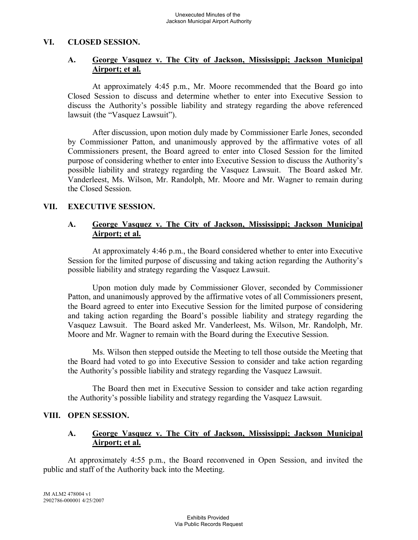### **VI. CLOSED SESSION.**

## **A. George Vasquez v. The City of Jackson, Mississippi; Jackson Municipal Airport; et al.**

At approximately 4:45 p.m., Mr. Moore recommended that the Board go into Closed Session to discuss and determine whether to enter into Executive Session to discuss the Authority's possible liability and strategy regarding the above referenced lawsuit (the "Vasquez Lawsuit").

After discussion, upon motion duly made by Commissioner Earle Jones, seconded by Commissioner Patton, and unanimously approved by the affirmative votes of all Commissioners present, the Board agreed to enter into Closed Session for the limited purpose of considering whether to enter into Executive Session to discuss the Authority's possible liability and strategy regarding the Vasquez Lawsuit. The Board asked Mr. Vanderleest, Ms. Wilson, Mr. Randolph, Mr. Moore and Mr. Wagner to remain during the Closed Session.

### **VII. EXECUTIVE SESSION.**

## **A. George Vasquez v. The City of Jackson, Mississippi; Jackson Municipal Airport; et al.**

At approximately 4:46 p.m., the Board considered whether to enter into Executive Session for the limited purpose of discussing and taking action regarding the Authority's possible liability and strategy regarding the Vasquez Lawsuit.

Upon motion duly made by Commissioner Glover, seconded by Commissioner Patton, and unanimously approved by the affirmative votes of all Commissioners present, the Board agreed to enter into Executive Session for the limited purpose of considering and taking action regarding the Board's possible liability and strategy regarding the Vasquez Lawsuit. The Board asked Mr. Vanderleest, Ms. Wilson, Mr. Randolph, Mr. Moore and Mr. Wagner to remain with the Board during the Executive Session.

Ms. Wilson then stepped outside the Meeting to tell those outside the Meeting that the Board had voted to go into Executive Session to consider and take action regarding the Authority's possible liability and strategy regarding the Vasquez Lawsuit.

The Board then met in Executive Session to consider and take action regarding the Authority's possible liability and strategy regarding the Vasquez Lawsuit.

### **VIII. OPEN SESSION.**

## **A. George Vasquez v. The City of Jackson, Mississippi; Jackson Municipal Airport; et al.**

At approximately 4:55 p.m., the Board reconvened in Open Session, and invited the public and staff of the Authority back into the Meeting.